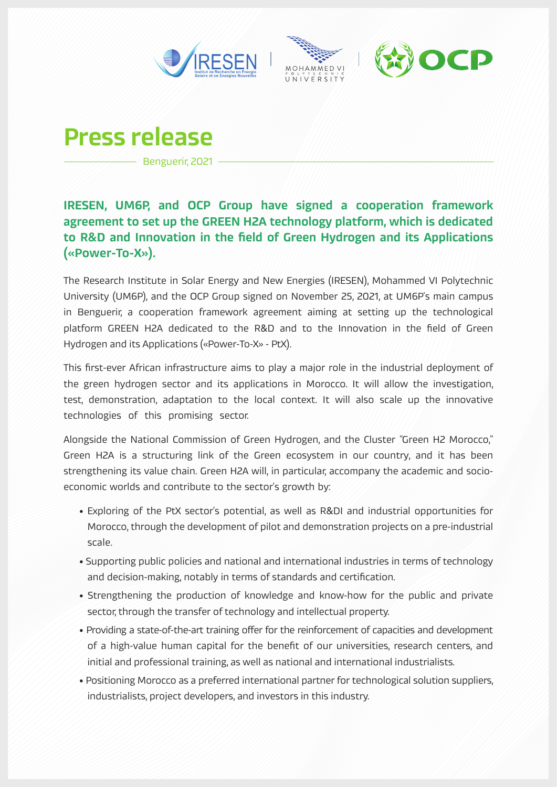

# Press release

Benguerir, 2021

# IRESEN, UM6P, and OCP Group have signed a cooperation framework agreement to set up the GREEN H2A technology platform, which is dedicated to R&D and Innovation in the field of Green Hydrogen and its Applications («Power-To-X»).

The Research Institute in Solar Energy and New Energies (IRESEN), Mohammed VI Polytechnic University (UM6P), and the OCP Group signed on November 25, 2021, at UM6P's main campus in Benguerir, a cooperation framework agreement aiming at setting up the technological platform GREEN H2A dedicated to the R&D and to the Innovation in the field of Green Hydrogen and its Applications («Power-To-X» - PtX).

This first-ever African infrastructure aims to play a major role in the industrial deployment of the green hydrogen sector and its applications in Morocco. It will allow the investigation, test, demonstration, adaptation to the local context. It will also scale up the innovative technologies of this promising sector.

Alongside the National Commission of Green Hydrogen, and the Cluster "Green H2 Morocco," Green H2A is a structuring link of the Green ecosystem in our country, and it has been strengthening its value chain. Green H2A will, in particular, accompany the academic and socioeconomic worlds and contribute to the sector's growth by:

- Exploring of the PtX sector's potential, as well as R&DI and industrial opportunities for Morocco, through the development of pilot and demonstration projects on a pre-industrial scale.
- Supporting public policies and national and international industries in terms of technology and decision-making, notably in terms of standards and certification.
- Strengthening the production of knowledge and know-how for the public and private sector, through the transfer of technology and intellectual property.
- Providing a state-of-the-art training offer for the reinforcement of capacities and development of a high-value human capital for the benefit of our universities, research centers, and initial and professional training, as well as national and international industrialists.
- Positioning Morocco as a preferred international partner for technological solution suppliers, industrialists, project developers, and investors in this industry.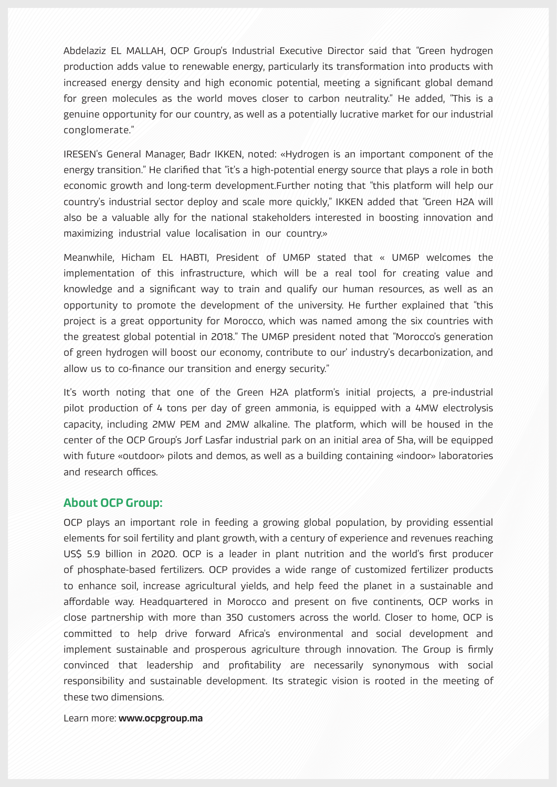Abdelaziz EL MALLAH, OCP Group's Industrial Executive Director said that "Green hydrogen production adds value to renewable energy, particularly its transformation into products with increased energy density and high economic potential, meeting a significant global demand for green molecules as the world moves closer to carbon neutrality." He added, "This is a genuine opportunity for our country, as well as a potentially lucrative market for our industrial conglomerate."

IRESEN's General Manager, Badr IKKEN, noted: «Hydrogen is an important component of the energy transition." He clarified that "it's a high-potential energy source that plays a role in both economic growth and long-term development.Further noting that "this platform will help our country's industrial sector deploy and scale more quickly," IKKEN added that "Green H2A will also be a valuable ally for the national stakeholders interested in boosting innovation and maximizing industrial value localisation in our country.»

Meanwhile, Hicham EL HABTI, President of UM6P stated that « UM6P welcomes the implementation of this infrastructure, which will be a real tool for creating value and knowledge and a significant way to train and qualify our human resources, as well as an opportunity to promote the development of the university. He further explained that "this project is a great opportunity for Morocco, which was named among the six countries with the greatest global potential in 2018." The UM6P president noted that "Morocco's generation of green hydrogen will boost our economy, contribute to our' industry's decarbonization, and allow us to co-finance our transition and energy security."

It's worth noting that one of the Green H2A platform's initial projects, a pre-industrial pilot production of 4 tons per day of green ammonia, is equipped with a 4MW electrolysis capacity, including 2MW PEM and 2MW alkaline. The platform, which will be housed in the center of the OCP Group's Jorf Lasfar industrial park on an initial area of 5ha, will be equipped with future «outdoor» pilots and demos, as well as a building containing «indoor» laboratories and research offices.

#### About OCP Group:

OCP plays an important role in feeding a growing global population, by providing essential elements for soil fertility and plant growth, with a century of experience and revenues reaching US\$ 5.9 billion in 2020. OCP is a leader in plant nutrition and the world's first producer of phosphate-based fertilizers. OCP provides a wide range of customized fertilizer products to enhance soil, increase agricultural yields, and help feed the planet in a sustainable and affordable way. Headquartered in Morocco and present on five continents, OCP works in close partnership with more than 350 customers across the world. Closer to home, OCP is committed to help drive forward Africa's environmental and social development and implement sustainable and prosperous agriculture through innovation. The Group is firmly convinced that leadership and profitability are necessarily synonymous with social responsibility and sustainable development. Its strategic vision is rooted in the meeting of these two dimensions.

Learn more: www.ocpgroup.ma